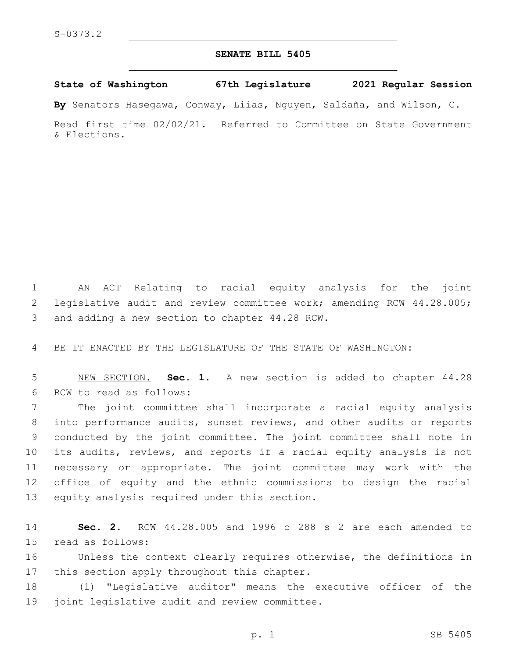## **SENATE BILL 5405**

**State of Washington 67th Legislature 2021 Regular Session**

**By** Senators Hasegawa, Conway, Liias, Nguyen, Saldaña, and Wilson, C.

Read first time 02/02/21. Referred to Committee on State Government & Elections.

1 AN ACT Relating to racial equity analysis for the joint 2 legislative audit and review committee work; amending RCW 44.28.005; 3 and adding a new section to chapter 44.28 RCW.

4 BE IT ENACTED BY THE LEGISLATURE OF THE STATE OF WASHINGTON:

5 NEW SECTION. **Sec. 1.** A new section is added to chapter 44.28 6 RCW to read as follows:

 The joint committee shall incorporate a racial equity analysis into performance audits, sunset reviews, and other audits or reports conducted by the joint committee. The joint committee shall note in its audits, reviews, and reports if a racial equity analysis is not necessary or appropriate. The joint committee may work with the office of equity and the ethnic commissions to design the racial 13 equity analysis required under this section.

14 **Sec. 2.** RCW 44.28.005 and 1996 c 288 s 2 are each amended to 15 read as follows:

16 Unless the context clearly requires otherwise, the definitions in 17 this section apply throughout this chapter.

18 (1) "Legislative auditor" means the executive officer of the 19 joint legislative audit and review committee.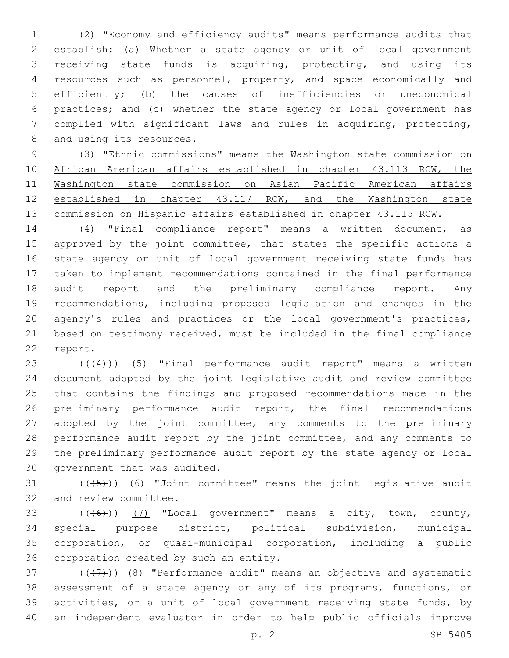(2) "Economy and efficiency audits" means performance audits that establish: (a) Whether a state agency or unit of local government receiving state funds is acquiring, protecting, and using its resources such as personnel, property, and space economically and efficiently; (b) the causes of inefficiencies or uneconomical practices; and (c) whether the state agency or local government has complied with significant laws and rules in acquiring, protecting, 8 and using its resources.

 (3) "Ethnic commissions" means the Washington state commission on African American affairs established in chapter 43.113 RCW, the Washington state commission on Asian Pacific American affairs established in chapter 43.117 RCW, and the Washington state commission on Hispanic affairs established in chapter 43.115 RCW.

 (4) "Final compliance report" means a written document, as 15 approved by the joint committee, that states the specific actions a state agency or unit of local government receiving state funds has taken to implement recommendations contained in the final performance audit report and the preliminary compliance report. Any recommendations, including proposed legislation and changes in the agency's rules and practices or the local government's practices, based on testimony received, must be included in the final compliance 22 report.

 $((44))$   $(5)$  "Final performance audit report" means a written document adopted by the joint legislative audit and review committee that contains the findings and proposed recommendations made in the preliminary performance audit report, the final recommendations adopted by the joint committee, any comments to the preliminary performance audit report by the joint committee, and any comments to the preliminary performance audit report by the state agency or local 30 government that was audited.

31  $((+5+))$   $(6)$  "Joint committee" means the joint legislative audit 32 and review committee.

 $((+6))$   $(7)$  "Local government" means a city, town, county, special purpose district, political subdivision, municipal corporation, or quasi-municipal corporation, including a public 36 corporation created by such an entity.

 $(1, 37)$  ( $(1, 7)$ )  $(8)$  "Performance audit" means an objective and systematic assessment of a state agency or any of its programs, functions, or activities, or a unit of local government receiving state funds, by an independent evaluator in order to help public officials improve